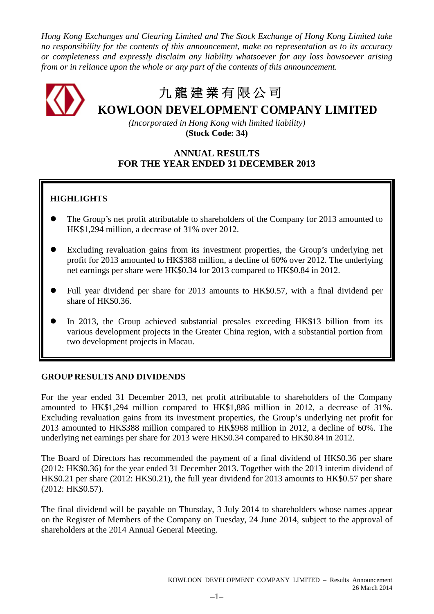*Hong Kong Exchanges and Clearing Limited and The Stock Exchange of Hong Kong Limited take no responsibility for the contents of this announcement, make no representation as to its accuracy or completeness and expressly disclaim any liability whatsoever for any loss howsoever arising from or in reliance upon the whole or any part of the contents of this announcement.*

九 龍 建 業 有 限 公 司

**KOWLOON DEVELOPMENT COMPANY LIMITED**

*(Incorporated in Hong Kong with limited liability)* **(Stock Code: 34)**

# **ANNUAL RESULTS FOR THE YEAR ENDED 31 DECEMBER 2013**

# **HIGHLIGHTS**

- The Group's net profit attributable to shareholders of the Company for 2013 amounted to HK\$1,294 million, a decrease of 31% over 2012.
- Excluding revaluation gains from its investment properties, the Group's underlying net profit for 2013 amounted to HK\$388 million, a decline of 60% over 2012. The underlying net earnings per share were HK\$0.34 for 2013 compared to HK\$0.84 in 2012.
- Full year dividend per share for 2013 amounts to HK\$0.57, with a final dividend per share of HK\$0.36.
- In 2013, the Group achieved substantial presales exceeding HK\$13 billion from its various development projects in the Greater China region, with a substantial portion from two development projects in Macau.

# **GROUP RESULTS AND DIVIDENDS**

For the year ended 31 December 2013, net profit attributable to shareholders of the Company amounted to HK\$1,294 million compared to HK\$1,886 million in 2012, a decrease of 31%. Excluding revaluation gains from its investment properties, the Group's underlying net profit for 2013 amounted to HK\$388 million compared to HK\$968 million in 2012, a decline of 60%. The underlying net earnings per share for 2013 were HK\$0.34 compared to HK\$0.84 in 2012.

The Board of Directors has recommended the payment of a final dividend of HK\$0.36 per share (2012: HK\$0.36) for the year ended 31 December 2013. Together with the 2013 interim dividend of HK\$0.21 per share (2012: HK\$0.21), the full year dividend for 2013 amounts to HK\$0.57 per share (2012: HK\$0.57).

The final dividend will be payable on Thursday, 3 July 2014 to shareholders whose names appear on the Register of Members of the Company on Tuesday, 24 June 2014, subject to the approval of shareholders at the 2014 Annual General Meeting.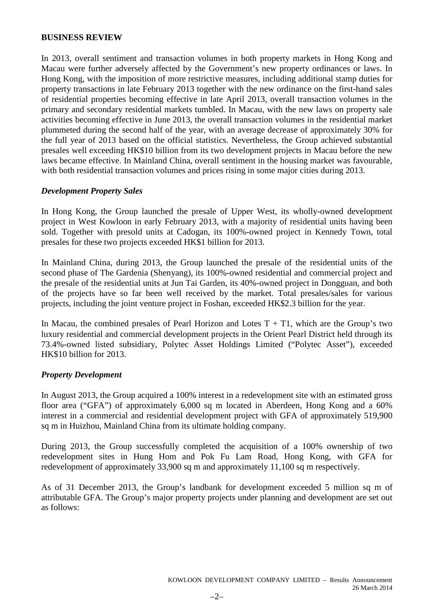# **BUSINESS REVIEW**

In 2013, overall sentiment and transaction volumes in both property markets in Hong Kong and Macau were further adversely affected by the Government's new property ordinances or laws. In Hong Kong, with the imposition of more restrictive measures, including additional stamp duties for property transactions in late February 2013 together with the new ordinance on the first-hand sales of residential properties becoming effective in late April 2013, overall transaction volumes in the primary and secondary residential markets tumbled. In Macau, with the new laws on property sale activities becoming effective in June 2013, the overall transaction volumes in the residential market plummeted during the second half of the year, with an average decrease of approximately 30% for the full year of 2013 based on the official statistics. Nevertheless, the Group achieved substantial presales well exceeding HK\$10 billion from its two development projects in Macau before the new laws became effective. In Mainland China, overall sentiment in the housing market was favourable, with both residential transaction volumes and prices rising in some major cities during 2013.

# *Development Property Sales*

In Hong Kong, the Group launched the presale of Upper West, its wholly-owned development project in West Kowloon in early February 2013, with a majority of residential units having been sold. Together with presold units at Cadogan, its 100%-owned project in Kennedy Town, total presales for these two projects exceeded HK\$1 billion for 2013.

In Mainland China, during 2013, the Group launched the presale of the residential units of the second phase of The Gardenia (Shenyang), its 100%-owned residential and commercial project and the presale of the residential units at Jun Tai Garden, its 40%-owned project in Dongguan, and both of the projects have so far been well received by the market. Total presales/sales for various projects, including the joint venture project in Foshan, exceeded HK\$2.3 billion for the year.

In Macau, the combined presales of Pearl Horizon and Lotes  $T + T1$ , which are the Group's two luxury residential and commercial development projects in the Orient Pearl District held through its 73.4%-owned listed subsidiary, Polytec Asset Holdings Limited ("Polytec Asset"), exceeded HK\$10 billion for 2013.

# *Property Development*

In August 2013, the Group acquired a 100% interest in a redevelopment site with an estimated gross floor area ("GFA") of approximately 6,000 sq m located in Aberdeen, Hong Kong and a 60% interest in a commercial and residential development project with GFA of approximately 519,900 sq m in Huizhou, Mainland China from its ultimate holding company.

During 2013, the Group successfully completed the acquisition of a 100% ownership of two redevelopment sites in Hung Hom and Pok Fu Lam Road, Hong Kong, with GFA for redevelopment of approximately 33,900 sq m and approximately 11,100 sq m respectively.

As of 31 December 2013, the Group's landbank for development exceeded 5 million sq m of attributable GFA. The Group's major property projects under planning and development are set out as follows: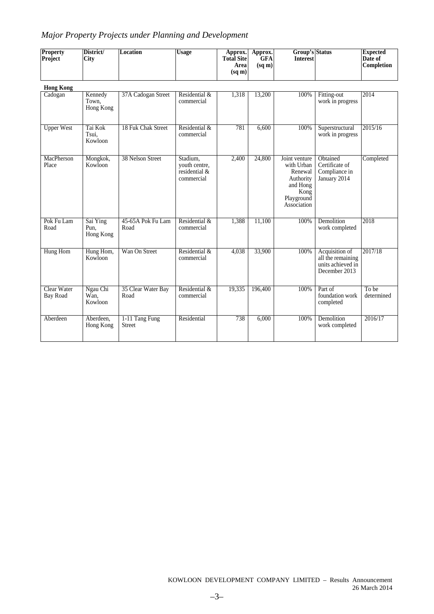# *Major Property Projects under Planning and Development*

| <b>Property</b><br>Project | District/<br><b>City</b>      | <b>Location</b>                 | <b>Usage</b>                                             | Approx.<br><b>Total Site</b><br>Area<br>$(sq \, \text{m})$ | Approx.<br><b>GFA</b><br>$(sq \, \text{m})$ | <b>Group's Status</b><br><b>Interest</b>                                                             |                                                                           | <b>Expected</b><br>Date of<br>Completion |
|----------------------------|-------------------------------|---------------------------------|----------------------------------------------------------|------------------------------------------------------------|---------------------------------------------|------------------------------------------------------------------------------------------------------|---------------------------------------------------------------------------|------------------------------------------|
| <b>Hong Kong</b>           |                               |                                 |                                                          |                                                            |                                             |                                                                                                      |                                                                           |                                          |
| Cadogan                    | Kennedy<br>Town,<br>Hong Kong | 37A Cadogan Street              | Residential &<br>commercial                              | 1,318                                                      | 13,200                                      | 100%                                                                                                 | Fitting-out<br>work in progress                                           | 2014                                     |
| <b>Upper West</b>          | Tai Kok<br>Tsui.<br>Kowloon   | 18 Fuk Chak Street              | Residential &<br>commercial                              | 781                                                        | 6,600                                       | 100%                                                                                                 | Superstructural<br>work in progress                                       | 2015/16                                  |
| MacPherson<br>Place        | Mongkok,<br>Kowloon           | 38 Nelson Street                | Stadium,<br>youth centre,<br>residential &<br>commercial | 2,400                                                      | 24,800                                      | Joint venture<br>with Urban<br>Renewal<br>Authority<br>and Hong<br>Kong<br>Playground<br>Association | Obtained<br>Certificate of<br>Compliance in<br>January 2014               | Completed                                |
| Pok Fu Lam<br>Road         | Sai Ying<br>Pun.<br>Hong Kong | 45-65A Pok Fu Lam<br>Road       | Residential &<br>commercial                              | 1,388                                                      | 11,100                                      | 100%                                                                                                 | Demolition<br>work completed                                              | 2018                                     |
| <b>Hung Hom</b>            | Hung Hom,<br>Kowloon          | Wan On Street                   | Residential &<br>commercial                              | 4,038                                                      | 33,900                                      | 100%                                                                                                 | Acquisition of<br>all the remaining<br>units achieved in<br>December 2013 | 2017/18                                  |
| Clear Water<br>Bay Road    | Ngau Chi<br>Wan.<br>Kowloon   | 35 Clear Water Bay<br>Road      | Residential &<br>commercial                              | 19,335                                                     | 196,400                                     | 100%                                                                                                 | Part of<br>foundation work<br>completed                                   | To be<br>determined                      |
| Aberdeen                   | Aberdeen,<br>Hong Kong        | 1-11 Tang Fung<br><b>Street</b> | Residential                                              | 738                                                        | 6,000                                       | 100%                                                                                                 | Demolition<br>work completed                                              | 2016/17                                  |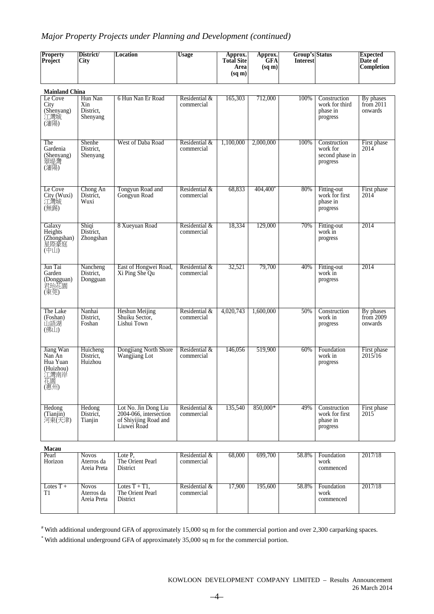# *Major Property Projects under Planning and Development (continued)*

| <b>Property</b><br>Project                                         | District/<br><b>City</b>                  | Location                                                                               | <b>Usage</b>                | Approx.<br><b>Total Site</b><br>Area<br>$(sq \, \text{m})$ | Approx.<br>GFA<br>$(sq \, \text{m})$ | <b>Group's Status</b><br>Interest |                                                         | <b>Expected</b><br>Date of<br>Completion |
|--------------------------------------------------------------------|-------------------------------------------|----------------------------------------------------------------------------------------|-----------------------------|------------------------------------------------------------|--------------------------------------|-----------------------------------|---------------------------------------------------------|------------------------------------------|
| <b>Mainland China</b>                                              |                                           |                                                                                        |                             |                                                            |                                      |                                   |                                                         |                                          |
| Le Cove<br>City<br>(Shenyang)<br>江灣城<br>(瀋陽)                       | Hun Nan<br>Xin<br>District.<br>Shenyang   | 6 Hun Nan Er Road                                                                      | Residential &<br>commercial | 165,303                                                    | 712,000                              | 100%                              | Construction<br>work for third<br>phase in<br>progress  | By phases<br>from $2011$<br>onwards      |
| The<br>Gardenia<br>(Shenyang)<br>翠堤灣<br>(瀋陽)                       | Shenhe<br>District,<br>Shenyang           | West of Daba Road                                                                      | Residential &<br>commercial | 1,100,000                                                  | 2,000,000                            | 100%                              | Construction<br>work for<br>second phase in<br>progress | First phase<br>2014                      |
| Le Cove<br>City (Wuxi)<br>江灣城<br>(無錫)                              | Chong An<br>District,<br>Wuxi             | Tongyun Road and<br>Gongyun Road                                                       | Residential &<br>commercial | 68,833                                                     | 404,400*                             | 80%                               | Fitting-out<br>work for first<br>phase in<br>progress   | First phase<br>2014                      |
| Galaxy<br>Heights<br>(Zhongshan)<br>星際豪庭<br>(中山)                   | Shiqi<br>District.<br>Zhongshan           | 8 Xueyuan Road                                                                         | Residential &<br>commercial | 18,334                                                     | 129,000                              | 70%                               | Fitting-out<br>work in<br>progress                      | 2014                                     |
| Jun Tai<br>Garden<br>(Dongguan)<br>君珆花園<br>(東莞)                    | Nancheng<br>District,<br>Dongguan         | East of Hongwei Road,<br>Xi Ping She Qu                                                | Residential &<br>commercial | 32,521                                                     | 79,700                               | 40%                               | Fitting-out<br>work in<br>progress                      | 2014                                     |
| The Lake<br>(Foshan)<br>山語湖<br>(佛山)                                | Nanhai<br>District.<br>Foshan             | <b>Heshun Meijing</b><br>Shuiku Sector,<br>Lishui Town                                 | Residential &<br>commercial | 4,020,743                                                  | 1,600,000                            | 50%                               | Construction<br>work in<br>progress                     | By phases<br>from $2009$<br>onwards      |
| Jiang Wan<br>Nan An<br>Hua Yuan<br>(Huizhou)<br>江灣南岸<br>花園<br>(惠州) | Huicheng<br>District,<br>Huizhou          | Dongjiang North Shore<br>Wangjiang Lot                                                 | Residential &<br>commercial | 146,056                                                    | 519,900                              | 60%                               | Foundation<br>work in<br>progress                       | First phase<br>2015/16                   |
| Hedong<br>(Tianjin)<br>河東(天津)                                      | Hedong<br>District,<br>Tianjin            | Lot No. Jin Dong Liu<br>2004-066, intersection<br>of Shiyijing Road and<br>Liuwei Road | Residential &<br>commercial | 135,540                                                    | 850,000*                             | 49%                               | Construction<br>work for first<br>phase in<br>progress  | First phase<br>2015                      |
| Macau                                                              |                                           |                                                                                        |                             |                                                            |                                      |                                   |                                                         |                                          |
| Pearl<br>Horizon                                                   | <b>Novos</b><br>Aterros da<br>Areia Preta | Lote P,<br>The Orient Pearl<br>District                                                | Residential &<br>commercial | 68,000                                                     | 699,700                              | 58.8%                             | Foundation<br>work<br>commenced                         | 2017/18                                  |
| Lotes $T +$                                                        | <b>Novos</b>                              | Lotes $T + T1$ ,                                                                       | Residential &               | 17,900                                                     | 195,600                              | 58.8%                             | Foundation                                              | 2017/18                                  |

# With additional underground GFA of approximately 15,000 sq m for the commercial portion and over 2,300 carparking spaces.

commercial

\* With additional underground GFA of approximately 35,000 sq m for the commercial portion.

Lotes T + T1

Aterros da Areia Preta

Lotes  $T + T1$ , The Orient Pearl District

work commenced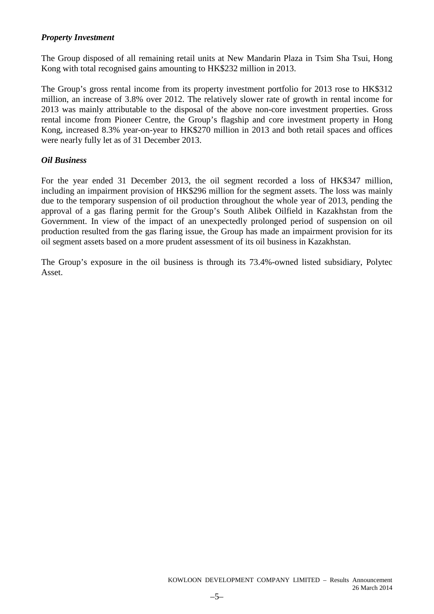# *Property Investment*

The Group disposed of all remaining retail units at New Mandarin Plaza in Tsim Sha Tsui, Hong Kong with total recognised gains amounting to HK\$232 million in 2013.

The Group's gross rental income from its property investment portfolio for 2013 rose to HK\$312 million, an increase of 3.8% over 2012. The relatively slower rate of growth in rental income for 2013 was mainly attributable to the disposal of the above non-core investment properties. Gross rental income from Pioneer Centre, the Group's flagship and core investment property in Hong Kong, increased 8.3% year-on-year to HK\$270 million in 2013 and both retail spaces and offices were nearly fully let as of 31 December 2013.

# *Oil Business*

For the year ended 31 December 2013, the oil segment recorded a loss of HK\$347 million, including an impairment provision of HK\$296 million for the segment assets. The loss was mainly due to the temporary suspension of oil production throughout the whole year of 2013, pending the approval of a gas flaring permit for the Group's South Alibek Oilfield in Kazakhstan from the Government. In view of the impact of an unexpectedly prolonged period of suspension on oil production resulted from the gas flaring issue, the Group has made an impairment provision for its oil segment assets based on a more prudent assessment of its oil business in Kazakhstan.

The Group's exposure in the oil business is through its 73.4%-owned listed subsidiary, Polytec Asset.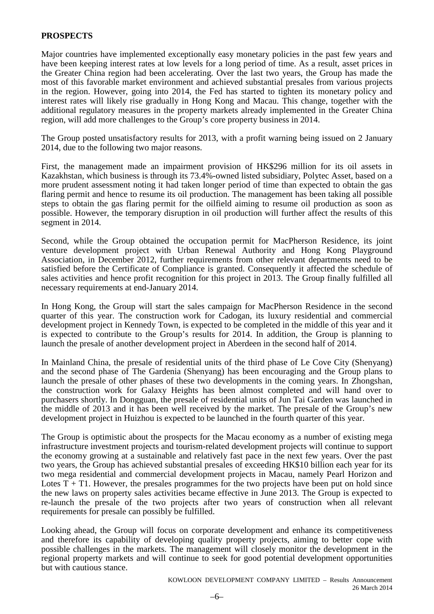# **PROSPECTS**

Major countries have implemented exceptionally easy monetary policies in the past few years and have been keeping interest rates at low levels for a long period of time. As a result, asset prices in the Greater China region had been accelerating. Over the last two years, the Group has made the most of this favorable market environment and achieved substantial presales from various projects in the region. However, going into 2014, the Fed has started to tighten its monetary policy and interest rates will likely rise gradually in Hong Kong and Macau. This change, together with the additional regulatory measures in the property markets already implemented in the Greater China region, will add more challenges to the Group's core property business in 2014.

The Group posted unsatisfactory results for 2013, with a profit warning being issued on 2 January 2014, due to the following two major reasons.

First, the management made an impairment provision of HK\$296 million for its oil assets in Kazakhstan, which business is through its 73.4%-owned listed subsidiary, Polytec Asset, based on a more prudent assessment noting it had taken longer period of time than expected to obtain the gas flaring permit and hence to resume its oil production. The management has been taking all possible steps to obtain the gas flaring permit for the oilfield aiming to resume oil production as soon as possible. However, the temporary disruption in oil production will further affect the results of this segment in 2014.

Second, while the Group obtained the occupation permit for MacPherson Residence, its joint venture development project with Urban Renewal Authority and Hong Kong Playground Association, in December 2012, further requirements from other relevant departments need to be satisfied before the Certificate of Compliance is granted. Consequently it affected the schedule of sales activities and hence profit recognition for this project in 2013. The Group finally fulfilled all necessary requirements at end-January 2014.

In Hong Kong, the Group will start the sales campaign for MacPherson Residence in the second quarter of this year. The construction work for Cadogan, its luxury residential and commercial development project in Kennedy Town, is expected to be completed in the middle of this year and it is expected to contribute to the Group's results for 2014. In addition, the Group is planning to launch the presale of another development project in Aberdeen in the second half of 2014.

In Mainland China, the presale of residential units of the third phase of Le Cove City (Shenyang) and the second phase of The Gardenia (Shenyang) has been encouraging and the Group plans to launch the presale of other phases of these two developments in the coming years. In Zhongshan, the construction work for Galaxy Heights has been almost completed and will hand over to purchasers shortly. In Dongguan, the presale of residential units of Jun Tai Garden was launched in the middle of 2013 and it has been well received by the market. The presale of the Group's new development project in Huizhou is expected to be launched in the fourth quarter of this year.

The Group is optimistic about the prospects for the Macau economy as a number of existing mega infrastructure investment projects and tourism-related development projects will continue to support the economy growing at a sustainable and relatively fast pace in the next few years. Over the past two years, the Group has achieved substantial presales of exceeding HK\$10 billion each year for its two mega residential and commercial development projects in Macau, namely Pearl Horizon and Lotes  $T + T1$ . However, the presales programmes for the two projects have been put on hold since the new laws on property sales activities became effective in June 2013. The Group is expected to re-launch the presale of the two projects after two years of construction when all relevant requirements for presale can possibly be fulfilled.

Looking ahead, the Group will focus on corporate development and enhance its competitiveness and therefore its capability of developing quality property projects, aiming to better cope with possible challenges in the markets. The management will closely monitor the development in the regional property markets and will continue to seek for good potential development opportunities but with cautious stance.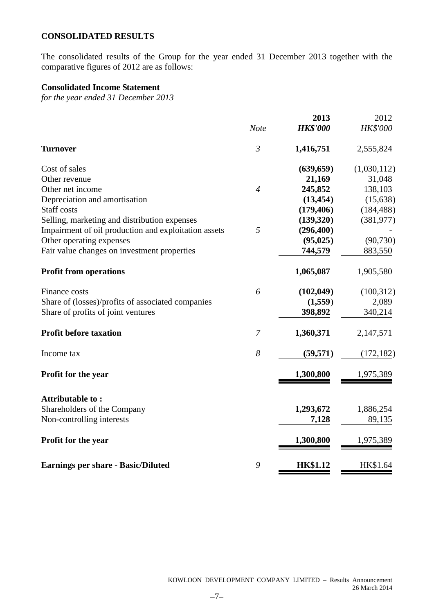# **CONSOLIDATED RESULTS**

The consolidated results of the Group for the year ended 31 December 2013 together with the comparative figures of 2012 are as follows:

# **Consolidated Income Statement**

*for the year ended 31 December 2013*

|                                                      |                | 2013            | 2012            |
|------------------------------------------------------|----------------|-----------------|-----------------|
|                                                      | <b>Note</b>    | <b>HK\$'000</b> | <b>HK\$'000</b> |
| <b>Turnover</b>                                      | $\mathfrak{Z}$ | 1,416,751       | 2,555,824       |
| Cost of sales                                        |                | (639, 659)      | (1,030,112)     |
| Other revenue                                        |                | 21,169          | 31,048          |
| Other net income                                     | $\overline{4}$ | 245,852         | 138,103         |
| Depreciation and amortisation                        |                | (13, 454)       | (15, 638)       |
| Staff costs                                          |                | (179, 406)      | (184, 488)      |
| Selling, marketing and distribution expenses         |                | (139, 320)      | (381, 977)      |
| Impairment of oil production and exploitation assets | 5              | (296, 400)      |                 |
| Other operating expenses                             |                | (95, 025)       | (90, 730)       |
| Fair value changes on investment properties          |                | 744,579         | 883,550         |
| <b>Profit from operations</b>                        |                | 1,065,087       | 1,905,580       |
| Finance costs                                        | 6              | (102, 049)      | (100, 312)      |
| Share of (losses)/profits of associated companies    |                | (1,559)         | 2,089           |
| Share of profits of joint ventures                   |                | 398,892         | 340,214         |
| <b>Profit before taxation</b>                        | $\overline{7}$ | 1,360,371       | 2,147,571       |
| Income tax                                           | 8              | (59, 571)       | (172, 182)      |
| Profit for the year                                  |                | 1,300,800       | 1,975,389       |
| Attributable to:                                     |                |                 |                 |
| Shareholders of the Company                          |                | 1,293,672       | 1,886,254       |
| Non-controlling interests                            |                | 7,128           | 89,135          |
| Profit for the year                                  |                | 1,300,800       | 1,975,389       |
| <b>Earnings per share - Basic/Diluted</b>            | 9              | <b>HK\$1.12</b> | HK\$1.64        |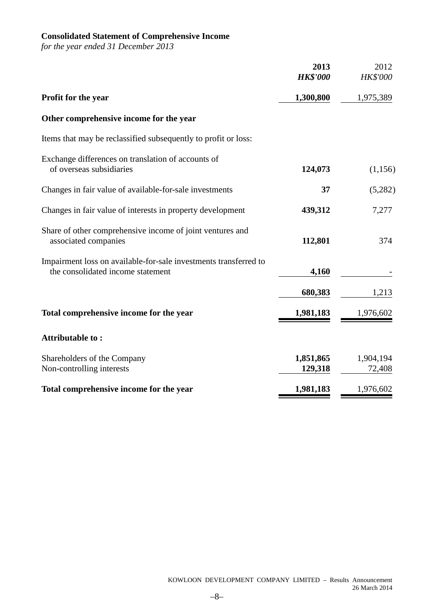# **Consolidated Statement of Comprehensive Income**

*for the year ended 31 December 2013*

|                                                                                                       | 2013<br><b>HK\$'000</b> | 2012<br>HK\$'000    |
|-------------------------------------------------------------------------------------------------------|-------------------------|---------------------|
| Profit for the year                                                                                   | 1,300,800               | 1,975,389           |
| Other comprehensive income for the year                                                               |                         |                     |
| Items that may be reclassified subsequently to profit or loss:                                        |                         |                     |
| Exchange differences on translation of accounts of<br>of overseas subsidiaries                        | 124,073                 | (1, 156)            |
| Changes in fair value of available-for-sale investments                                               | 37                      | (5,282)             |
| Changes in fair value of interests in property development                                            | 439,312                 | 7,277               |
| Share of other comprehensive income of joint ventures and<br>associated companies                     | 112,801                 | 374                 |
| Impairment loss on available-for-sale investments transferred to<br>the consolidated income statement | 4,160                   |                     |
|                                                                                                       | 680,383                 | 1,213               |
| Total comprehensive income for the year                                                               | 1,981,183               | 1,976,602           |
| Attributable to:                                                                                      |                         |                     |
| Shareholders of the Company<br>Non-controlling interests                                              | 1,851,865<br>129,318    | 1,904,194<br>72,408 |
| Total comprehensive income for the year                                                               | 1,981,183               | 1,976,602           |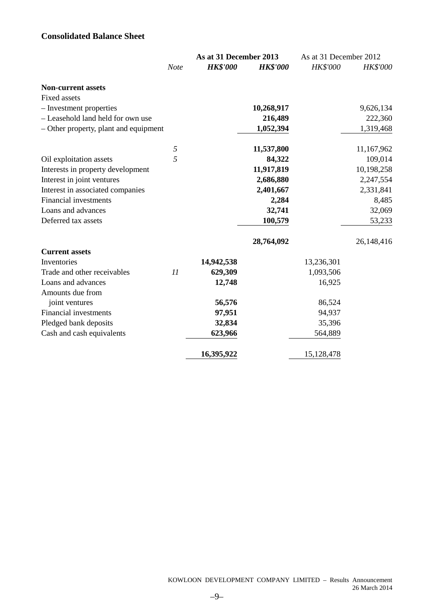# **Consolidated Balance Sheet**

|                                       |            | As at 31 December 2013 |                 | As at 31 December 2012 |            |
|---------------------------------------|------------|------------------------|-----------------|------------------------|------------|
|                                       | Note       | <b>HK\$'000</b>        | <b>HK\$'000</b> | <b>HK\$'000</b>        | HK\$'000   |
| <b>Non-current assets</b>             |            |                        |                 |                        |            |
| <b>Fixed assets</b>                   |            |                        |                 |                        |            |
| - Investment properties               |            |                        | 10,268,917      |                        | 9,626,134  |
| - Leasehold land held for own use     |            |                        | 216,489         |                        | 222,360    |
| - Other property, plant and equipment |            |                        | 1,052,394       |                        | 1,319,468  |
|                                       | $\sqrt{2}$ |                        | 11,537,800      |                        | 11,167,962 |
| Oil exploitation assets               | 5          |                        | 84,322          |                        | 109,014    |
| Interests in property development     |            |                        | 11,917,819      |                        | 10,198,258 |
| Interest in joint ventures            |            |                        | 2,686,880       |                        | 2,247,554  |
| Interest in associated companies      |            |                        | 2,401,667       |                        | 2,331,841  |
| <b>Financial investments</b>          |            |                        | 2,284           |                        | 8,485      |
| Loans and advances                    |            |                        | 32,741          |                        | 32,069     |
| Deferred tax assets                   |            |                        | 100,579         |                        | 53,233     |
|                                       |            |                        | 28,764,092      |                        | 26,148,416 |
| <b>Current assets</b>                 |            |                        |                 |                        |            |
| Inventories                           |            | 14,942,538             |                 | 13,236,301             |            |
| Trade and other receivables           | 11         | 629,309                |                 | 1,093,506              |            |
| Loans and advances                    |            | 12,748                 |                 | 16,925                 |            |
| Amounts due from                      |            |                        |                 |                        |            |
| joint ventures                        |            | 56,576                 |                 | 86,524                 |            |
| Financial investments                 |            | 97,951                 |                 | 94,937                 |            |
| Pledged bank deposits                 |            | 32,834                 |                 | 35,396                 |            |
| Cash and cash equivalents             |            | 623,966                |                 | 564,889                |            |
|                                       |            | 16,395,922             |                 | 15,128,478             |            |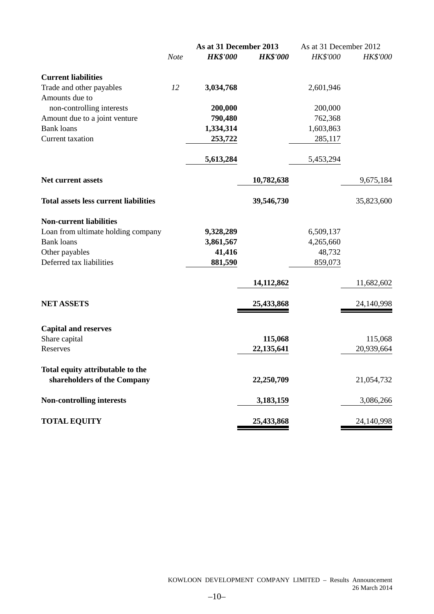|                                              |             | As at 31 December 2013 |                 | As at 31 December 2012 |                 |
|----------------------------------------------|-------------|------------------------|-----------------|------------------------|-----------------|
|                                              | <b>Note</b> | <b>HK\$'000</b>        | <b>HK\$'000</b> | <b>HK\$'000</b>        | <b>HK\$'000</b> |
| <b>Current liabilities</b>                   |             |                        |                 |                        |                 |
| Trade and other payables                     | 12          | 3,034,768              |                 | 2,601,946              |                 |
| Amounts due to                               |             |                        |                 |                        |                 |
| non-controlling interests                    |             | 200,000                |                 | 200,000                |                 |
| Amount due to a joint venture                |             | 790,480                |                 | 762,368                |                 |
| <b>Bank loans</b>                            |             | 1,334,314              |                 | 1,603,863              |                 |
| Current taxation                             |             | 253,722                |                 | 285,117                |                 |
|                                              |             | 5,613,284              |                 | 5,453,294              |                 |
| <b>Net current assets</b>                    |             |                        | 10,782,638      |                        | 9,675,184       |
| <b>Total assets less current liabilities</b> |             |                        | 39,546,730      |                        | 35,823,600      |
| <b>Non-current liabilities</b>               |             |                        |                 |                        |                 |
| Loan from ultimate holding company           |             | 9,328,289              |                 | 6,509,137              |                 |
| <b>Bank loans</b>                            |             | 3,861,567              |                 | 4,265,660              |                 |
| Other payables                               |             | 41,416                 |                 | 48,732                 |                 |
| Deferred tax liabilities                     |             | 881,590                |                 | 859,073                |                 |
|                                              |             |                        | 14, 112, 862    |                        | 11,682,602      |
| <b>NET ASSETS</b>                            |             |                        | 25,433,868      |                        | 24,140,998      |
| <b>Capital and reserves</b>                  |             |                        |                 |                        |                 |
| Share capital                                |             |                        | 115,068         |                        | 115,068         |
| Reserves                                     |             |                        | 22,135,641      |                        | 20,939,664      |
| Total equity attributable to the             |             |                        |                 |                        |                 |
| shareholders of the Company                  |             |                        | 22,250,709      |                        | 21,054,732      |
| <b>Non-controlling interests</b>             |             |                        | 3,183,159       |                        | 3,086,266       |
| <b>TOTAL EQUITY</b>                          |             |                        | 25,433,868      |                        | 24,140,998      |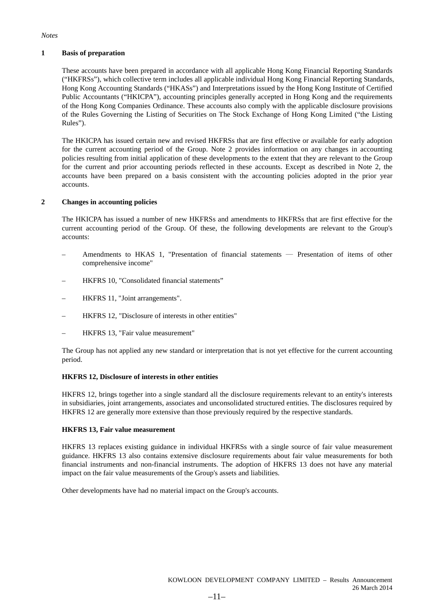#### *Notes*

#### **1 Basis of preparation**

These accounts have been prepared in accordance with all applicable Hong Kong Financial Reporting Standards ("HKFRSs"), which collective term includes all applicable individual Hong Kong Financial Reporting Standards, Hong Kong Accounting Standards ("HKASs") and Interpretations issued by the Hong Kong Institute of Certified Public Accountants ("HKICPA"), accounting principles generally accepted in Hong Kong and the requirements of the Hong Kong Companies Ordinance. These accounts also comply with the applicable disclosure provisions of the Rules Governing the Listing of Securities on The Stock Exchange of Hong Kong Limited ("the Listing Rules").

The HKICPA has issued certain new and revised HKFRSs that are first effective or available for early adoption for the current accounting period of the Group. Note 2 provides information on any changes in accounting policies resulting from initial application of these developments to the extent that they are relevant to the Group for the current and prior accounting periods reflected in these accounts. Except as described in Note 2, the accounts have been prepared on a basis consistent with the accounting policies adopted in the prior year accounts.

#### **2 Changes in accounting policies**

The HKICPA has issued a number of new HKFRSs and amendments to HKFRSs that are first effective for the current accounting period of the Group. Of these, the following developments are relevant to the Group's accounts:

- Amendments to HKAS 1, "Presentation of financial statements ― Presentation of items of other comprehensive income"
- HKFRS 10, "Consolidated financial statements"
- HKFRS 11, "Joint arrangements".
- HKFRS 12, "Disclosure of interests in other entities"
- HKFRS 13, "Fair value measurement"

The Group has not applied any new standard or interpretation that is not yet effective for the current accounting period.

#### **HKFRS 12, Disclosure of interests in other entities**

HKFRS 12, brings together into a single standard all the disclosure requirements relevant to an entity's interests in subsidiaries, joint arrangements, associates and unconsolidated structured entities. The disclosures required by HKFRS 12 are generally more extensive than those previously required by the respective standards.

#### **HKFRS 13, Fair value measurement**

HKFRS 13 replaces existing guidance in individual HKFRSs with a single source of fair value measurement guidance. HKFRS 13 also contains extensive disclosure requirements about fair value measurements for both financial instruments and non-financial instruments. The adoption of HKFRS 13 does not have any material impact on the fair value measurements of the Group's assets and liabilities.

Other developments have had no material impact on the Group's accounts.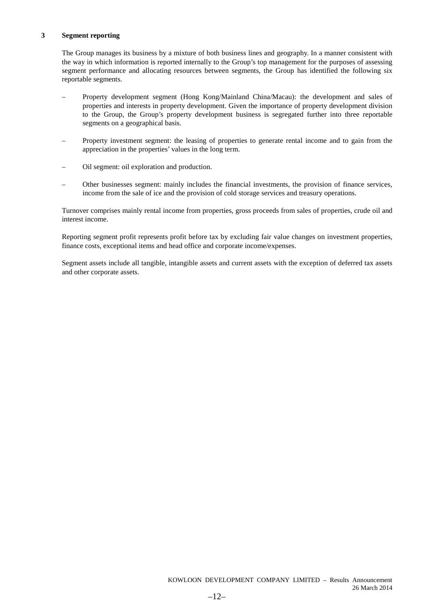#### **3 Segment reporting**

The Group manages its business by a mixture of both business lines and geography. In a manner consistent with the way in which information is reported internally to the Group's top management for the purposes of assessing segment performance and allocating resources between segments, the Group has identified the following six reportable segments.

- Property development segment (Hong Kong/Mainland China/Macau): the development and sales of properties and interests in property development. Given the importance of property development division to the Group, the Group's property development business is segregated further into three reportable segments on a geographical basis.
- Property investment segment: the leasing of properties to generate rental income and to gain from the appreciation in the properties' values in the long term.
- Oil segment: oil exploration and production.
- Other businesses segment: mainly includes the financial investments, the provision of finance services, income from the sale of ice and the provision of cold storage services and treasury operations.

Turnover comprises mainly rental income from properties, gross proceeds from sales of properties, crude oil and interest income.

Reporting segment profit represents profit before tax by excluding fair value changes on investment properties, finance costs, exceptional items and head office and corporate income/expenses.

Segment assets include all tangible, intangible assets and current assets with the exception of deferred tax assets and other corporate assets.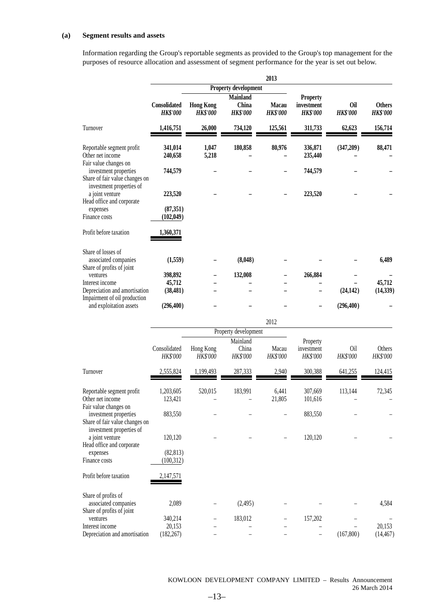#### **(a) Segment results and assets**

Information regarding the Group's reportable segments as provided to the Group's top management for the purposes of resource allocation and assessment of segment performance for the year is set out below.

|                                                                                     |                                 |                                     |                                             | 2013                     |                                                  |                               |                                  |
|-------------------------------------------------------------------------------------|---------------------------------|-------------------------------------|---------------------------------------------|--------------------------|--------------------------------------------------|-------------------------------|----------------------------------|
|                                                                                     | Property development            |                                     |                                             |                          |                                                  |                               |                                  |
|                                                                                     | Consolidated<br><b>HK\$'000</b> | <b>Hong Kong</b><br><b>HK\$'000</b> | <b>Mainland</b><br>China<br><b>HK\$'000</b> | Macau<br><b>HK\$'000</b> | <b>Property</b><br>investment<br><b>HK\$'000</b> | <b>Oil</b><br><b>HK\$'000</b> | <b>Others</b><br><b>HK\$'000</b> |
| Turnover                                                                            | 1,416,751                       | 26,000                              | 734,120                                     | 125,561                  | 311,733                                          | 62,623                        | 156,714                          |
| Reportable segment profit<br>Other net income<br>Fair value changes on              | 341,014<br>240,658              | 1,047<br>5,218                      | 180,858                                     | 80,976                   | 336,871<br>235,440                               | (347,209)                     | 88,471                           |
| investment properties<br>Share of fair value changes on<br>investment properties of | 744,579                         |                                     |                                             |                          | 744,579                                          |                               |                                  |
| a joint venture                                                                     | 223,520                         |                                     |                                             |                          | 223,520                                          |                               |                                  |
| Head office and corporate<br>expenses                                               | (87, 351)                       |                                     |                                             |                          |                                                  |                               |                                  |
| Finance costs                                                                       | (102, 049)                      |                                     |                                             |                          |                                                  |                               |                                  |
| Profit before taxation                                                              | 1,360,371                       |                                     |                                             |                          |                                                  |                               |                                  |
| Share of losses of<br>associated companies<br>Share of profits of joint             | (1,559)                         |                                     | (8,048)                                     |                          |                                                  |                               | 6,489                            |
| ventures                                                                            | 398,892                         |                                     | 132,008                                     |                          | 266,884                                          |                               |                                  |
| Interest income<br>Depreciation and amortisation                                    | 45,712<br>(38, 481)             |                                     |                                             |                          |                                                  | (24, 142)                     | 45,712<br>(14, 339)              |
| Impairment of oil production<br>and exploitation assets                             | (296, 400)                      |                                     |                                             |                          |                                                  | (296, 400)                    |                                  |
|                                                                                     |                                 |                                     |                                             |                          |                                                  |                               |                                  |
|                                                                                     |                                 |                                     |                                             | 2012                     |                                                  |                               |                                  |
|                                                                                     |                                 |                                     | Property development<br>Mainland            |                          | Property                                         |                               |                                  |
|                                                                                     | Consolidated<br>HK\$'000        | Hong Kong<br>HK\$'000               | China<br>HK\$'000                           | Macau<br>HK\$'000        | investment<br>HK\$'000                           | Oil<br>HK\$'000               | Others<br>HK\$'000               |
| Turnover                                                                            | 2,555,824                       | 1,199,493                           | 287,333                                     | 2,940                    | 300,388                                          | 641,255                       | 124,415                          |
| Reportable segment profit<br>Other net income<br>Fair value changes on              | 1,203,605<br>123,421            | 520,015                             | 183,991                                     | 6,441<br>21.805          | 307,669<br>101,616                               | 113,144                       | 72,345                           |
| investment properties<br>Share of fair value changes on<br>investment properties of | 883,550                         |                                     |                                             |                          | 883,550                                          |                               |                                  |
| a joint venture<br>Head office and corporate                                        | 120,120                         |                                     |                                             |                          | 120,120                                          |                               |                                  |
| expenses<br>Finance costs                                                           | (82, 813)<br>(100, 312)         |                                     |                                             |                          |                                                  |                               |                                  |
| Profit before taxation                                                              | 2,147,571                       |                                     |                                             |                          |                                                  |                               |                                  |
| Share of profits of<br>associated companies<br>Share of profits of joint            | 2,089                           |                                     | (2,495)                                     |                          |                                                  |                               | 4,584                            |
| ventures<br>Interest income                                                         | 340,214                         |                                     | 183,012                                     |                          | 157,202                                          |                               | 20,153                           |
| Depreciation and amortisation                                                       | 20,153<br>(182, 267)            |                                     |                                             |                          |                                                  | (167, 800)                    | (14, 467)                        |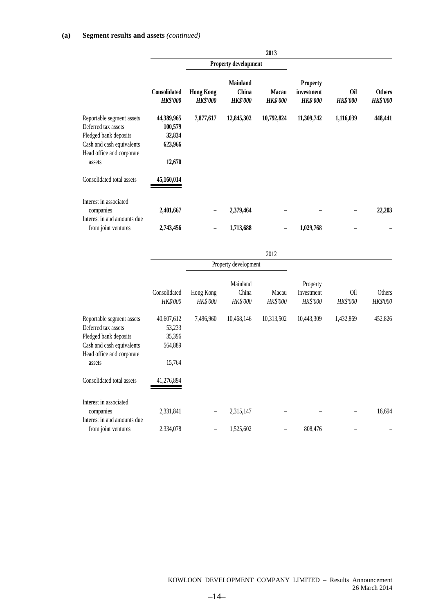|                                                                                                                                               |                                                      |                                     |                                             | 2013                            |                                                  |                               |                                  |
|-----------------------------------------------------------------------------------------------------------------------------------------------|------------------------------------------------------|-------------------------------------|---------------------------------------------|---------------------------------|--------------------------------------------------|-------------------------------|----------------------------------|
|                                                                                                                                               |                                                      |                                     | Property development                        |                                 |                                                  |                               |                                  |
|                                                                                                                                               | Consolidated<br><b>HK\$'000</b>                      | <b>Hong Kong</b><br><b>HK\$'000</b> | <b>Mainland</b><br>China<br><b>HK\$'000</b> | <b>Macau</b><br><b>HK\$'000</b> | <b>Property</b><br>investment<br><b>HK\$'000</b> | <b>Oil</b><br><b>HK\$'000</b> | <b>Others</b><br><b>HK\$'000</b> |
| Reportable segment assets<br>Deferred tax assets<br>Pledged bank deposits<br>Cash and cash equivalents<br>Head office and corporate<br>assets | 44,389,965<br>100,579<br>32,834<br>623,966<br>12,670 | 7,877,617                           | 12,845,302                                  | 10,792,824                      | 11,309,742                                       | 1,116,039                     | 448,441                          |
| Consolidated total assets                                                                                                                     | 45,160,014                                           |                                     |                                             |                                 |                                                  |                               |                                  |
| Interest in associated<br>companies<br>Interest in and amounts due                                                                            | 2,401,667                                            |                                     | 2,379,464                                   |                                 |                                                  |                               | 22,203                           |
| from joint ventures                                                                                                                           | 2,743,456                                            |                                     | 1,713,688                                   |                                 | 1,029,768                                        |                               |                                  |

|                                                                                                                                               |                                                     |                              |                                      | 2012                     |                                    |                 |                    |
|-----------------------------------------------------------------------------------------------------------------------------------------------|-----------------------------------------------------|------------------------------|--------------------------------------|--------------------------|------------------------------------|-----------------|--------------------|
|                                                                                                                                               |                                                     | Property development         |                                      |                          |                                    |                 |                    |
|                                                                                                                                               | Consolidated<br><b>HK\$'000</b>                     | Hong Kong<br><b>HK\$'000</b> | Mainland<br>China<br><b>HK\$'000</b> | Macau<br><b>HK\$'000</b> | Property<br>investment<br>HK\$'000 | 0il<br>HK\$'000 | Others<br>HK\$'000 |
| Reportable segment assets<br>Deferred tax assets<br>Pledged bank deposits<br>Cash and cash equivalents<br>Head office and corporate<br>assets | 40,607,612<br>53,233<br>35,396<br>564,889<br>15,764 | 7,496,960                    | 10,468,146                           | 10,313,502               | 10,443,309                         | 1,432,869       | 452,826            |
| Consolidated total assets                                                                                                                     | 41,276,894                                          |                              |                                      |                          |                                    |                 |                    |
| Interest in associated<br>companies<br>Interest in and amounts due                                                                            | 2,331,841                                           | $\qquad \qquad -$            | 2,315,147                            |                          |                                    |                 | 16,694             |
| from joint ventures                                                                                                                           | 2,334,078                                           | -                            | 1,525,602                            |                          | 808,476                            |                 |                    |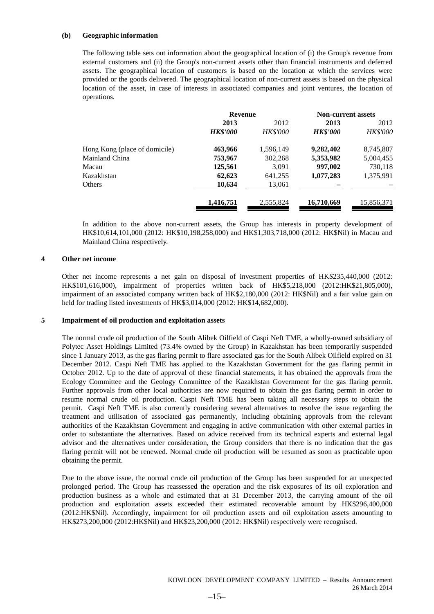#### **(b) Geographic information**

The following table sets out information about the geographical location of (i) the Group's revenue from external customers and (ii) the Group's non-current assets other than financial instruments and deferred assets. The geographical location of customers is based on the location at which the services were provided or the goods delivered. The geographical location of non-current assets is based on the physical location of the asset, in case of interests in associated companies and joint ventures, the location of operations.

| 2013            | 2012            | 2013            | 2012                      |  |
|-----------------|-----------------|-----------------|---------------------------|--|
| <b>HK\$'000</b> | <b>HK\$'000</b> | <b>HK\$'000</b> | <b>HK\$'000</b>           |  |
| 463,966         | 1,596,149       | 9,282,402       | 8,745,807                 |  |
| 753,967         | 302,268         | 5,353,982       | 5,004,455                 |  |
| 125,561         | 3.091           | 997,002         | 730,118                   |  |
| 62,623          | 641,255         | 1,077,283       | 1,375,991                 |  |
| 10,634          | 13,061          |                 |                           |  |
| 1,416,751       | 2,555,824       | 16,710,669      | 15,856,371                |  |
|                 |                 | <b>Revenue</b>  | <b>Non-current assets</b> |  |

In addition to the above non-current assets, the Group has interests in property development of HK\$10,614,101,000 (2012: HK\$10,198,258,000) and HK\$1,303,718,000 (2012: HK\$Nil) in Macau and Mainland China respectively.

#### **4 Other net income**

Other net income represents a net gain on disposal of investment properties of HK\$235,440,000 (2012: HK\$101,616,000), impairment of properties written back of HK\$5,218,000 (2012:HK\$21,805,000), impairment of an associated company written back of HK\$2,180,000 (2012: HK\$Nil) and a fair value gain on held for trading listed investments of HK\$3,014,000 (2012: HK\$14,682,000).

#### **5 Impairment of oil production and exploitation assets**

The normal crude oil production of the South Alibek Oilfield of Caspi Neft TME, a wholly-owned subsidiary of Polytec Asset Holdings Limited (73.4% owned by the Group) in Kazakhstan has been temporarily suspended since 1 January 2013, as the gas flaring permit to flare associated gas for the South Alibek Oilfield expired on 31 December 2012. Caspi Neft TME has applied to the Kazakhstan Government for the gas flaring permit in October 2012. Up to the date of approval of these financial statements, it has obtained the approvals from the Ecology Committee and the Geology Committee of the Kazakhstan Government for the gas flaring permit. Further approvals from other local authorities are now required to obtain the gas flaring permit in order to resume normal crude oil production. Caspi Neft TME has been taking all necessary steps to obtain the permit. Caspi Neft TME is also currently considering several alternatives to resolve the issue regarding the treatment and utilisation of associated gas permanently, including obtaining approvals from the relevant authorities of the Kazakhstan Government and engaging in active communication with other external parties in order to substantiate the alternatives. Based on advice received from its technical experts and external legal advisor and the alternatives under consideration, the Group considers that there is no indication that the gas flaring permit will not be renewed. Normal crude oil production will be resumed as soon as practicable upon obtaining the permit.

Due to the above issue, the normal crude oil production of the Group has been suspended for an unexpected prolonged period. The Group has reassessed the operation and the risk exposures of its oil exploration and production business as a whole and estimated that at 31 December 2013, the carrying amount of the oil production and exploitation assets exceeded their estimated recoverable amount by HK\$296,400,000 (2012:HK\$Nil). Accordingly, impairment for oil production assets and oil exploitation assets amounting to HK\$273,200,000 (2012:HK\$Nil) and HK\$23,200,000 (2012: HK\$Nil) respectively were recognised.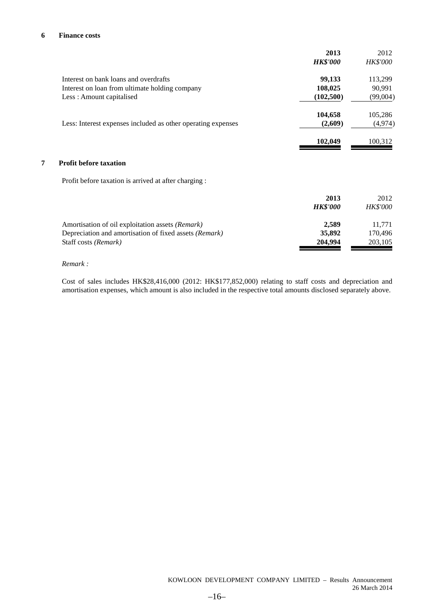#### **6 Finance costs**

|   |                                                              | 2013<br><b>HK\$'000</b> | 2012<br><i>HK\$'000</i> |
|---|--------------------------------------------------------------|-------------------------|-------------------------|
|   |                                                              |                         |                         |
|   | Interest on bank loans and overdrafts                        | 99,133                  | 113,299                 |
|   | Interest on loan from ultimate holding company               | 108,025                 | 90,991                  |
|   | Less: Amount capitalised                                     | (102, 500)              | (99,004)                |
|   |                                                              | 104,658                 | 105,286                 |
|   | Less: Interest expenses included as other operating expenses | (2,609)                 | (4, 974)                |
|   |                                                              | 102,049                 | 100,312                 |
| 7 | <b>Profit before taxation</b>                                |                         |                         |
|   | Profit before taxation is arrived at after charging :        |                         |                         |
|   |                                                              | 2013                    | 2012                    |
|   |                                                              | <b>HK\$'000</b>         | <b>HK\$'000</b>         |
|   | Amortisation of oil exploitation assets (Remark)             | 2,589                   | 11,771                  |
|   | Depreciation and amortisation of fixed assets (Remark)       | 35,892                  | 170,496                 |
|   | Staff costs (Remark)                                         | 204,994                 | 203,105                 |
|   |                                                              |                         |                         |

#### *Remark :*

Cost of sales includes HK\$28,416,000 (2012: HK\$177,852,000) relating to staff costs and depreciation and amortisation expenses, which amount is also included in the respective total amounts disclosed separately above.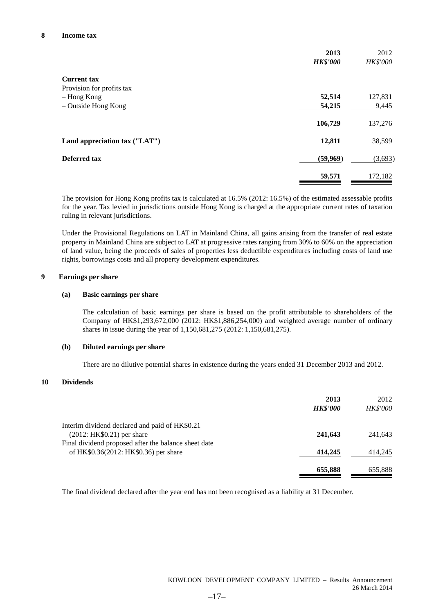|                               | 2013<br><b>HK\$'000</b> | 2012<br><b>HK\$'000</b> |
|-------------------------------|-------------------------|-------------------------|
| <b>Current tax</b>            |                         |                         |
| Provision for profits tax     |                         |                         |
| - Hong Kong                   | 52,514                  | 127,831                 |
| - Outside Hong Kong           | 54,215                  | 9,445                   |
|                               | 106,729                 | 137,276                 |
| Land appreciation tax ("LAT") | 12,811                  | 38,599                  |
| Deferred tax                  | (59,969)                | (3,693)                 |
|                               | 59,571                  | 172,182                 |

The provision for Hong Kong profits tax is calculated at 16.5% (2012: 16.5%) of the estimated assessable profits for the year. Tax levied in jurisdictions outside Hong Kong is charged at the appropriate current rates of taxation ruling in relevant jurisdictions.

Under the Provisional Regulations on LAT in Mainland China, all gains arising from the transfer of real estate property in Mainland China are subject to LAT at progressive rates ranging from 30% to 60% on the appreciation of land value, being the proceeds of sales of properties less deductible expenditures including costs of land use rights, borrowings costs and all property development expenditures.

#### **9 Earnings per share**

#### **(a) Basic earnings per share**

The calculation of basic earnings per share is based on the profit attributable to shareholders of the Company of HK\$1,293,672,000 (2012: HK\$1,886,254,000) and weighted average number of ordinary shares in issue during the year of 1,150,681,275 (2012: 1,150,681,275).

#### **(b) Diluted earnings per share**

There are no dilutive potential shares in existence during the years ended 31 December 2013 and 2012.

### **10 Dividends**

|                                                      | 2013<br><b>HK\$'000</b> | 2012<br><b>HK\$'000</b> |
|------------------------------------------------------|-------------------------|-------------------------|
| Interim dividend declared and paid of HK\$0.21       |                         |                         |
| $(2012: HK$0.21)$ per share                          | 241,643                 | 241.643                 |
| Final dividend proposed after the balance sheet date |                         |                         |
| of HK\$0.36(2012: HK\$0.36) per share                | 414,245                 | 414,245                 |
|                                                      | 655,888                 | 655,888                 |

The final dividend declared after the year end has not been recognised as a liability at 31 December.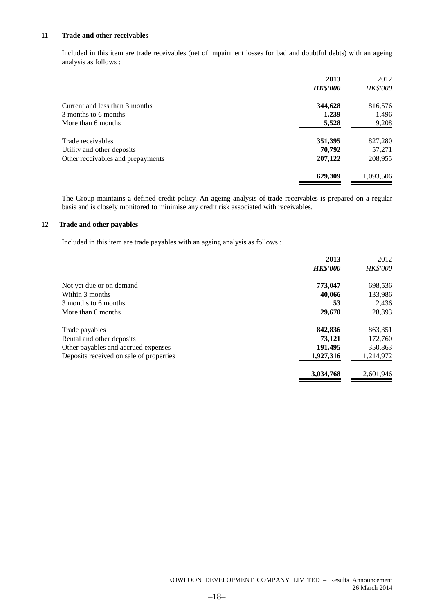### **11 Trade and other receivables**

Included in this item are trade receivables (net of impairment losses for bad and doubtful debts) with an ageing analysis as follows :

|                                   | 2013            | 2012            |
|-----------------------------------|-----------------|-----------------|
|                                   | <b>HK\$'000</b> | <b>HK\$'000</b> |
| Current and less than 3 months    | 344,628         | 816,576         |
| 3 months to 6 months              | 1,239           | 1,496           |
| More than 6 months                | 5,528           | 9,208           |
| Trade receivables                 | 351,395         | 827,280         |
| Utility and other deposits        | 70,792          | 57,271          |
| Other receivables and prepayments | 207,122         | 208,955         |
|                                   | 629,309         | 1,093,506       |

The Group maintains a defined credit policy. An ageing analysis of trade receivables is prepared on a regular basis and is closely monitored to minimise any credit risk associated with receivables.

#### **12 Trade and other payables**

Included in this item are trade payables with an ageing analysis as follows :

|                                         | 2013            | 2012            |
|-----------------------------------------|-----------------|-----------------|
|                                         | <b>HK\$'000</b> | <b>HK\$'000</b> |
| Not yet due or on demand                | 773,047         | 698,536         |
| Within 3 months                         | 40,066          | 133,986         |
| 3 months to 6 months                    | 53              | 2,436           |
| More than 6 months                      | 29,670          | 28,393          |
| Trade payables                          | 842,836         | 863,351         |
| Rental and other deposits               | 73,121          | 172,760         |
| Other payables and accrued expenses     | 191,495         | 350,863         |
| Deposits received on sale of properties | 1,927,316       | 1,214,972       |
|                                         | 3,034,768       | 2,601,946       |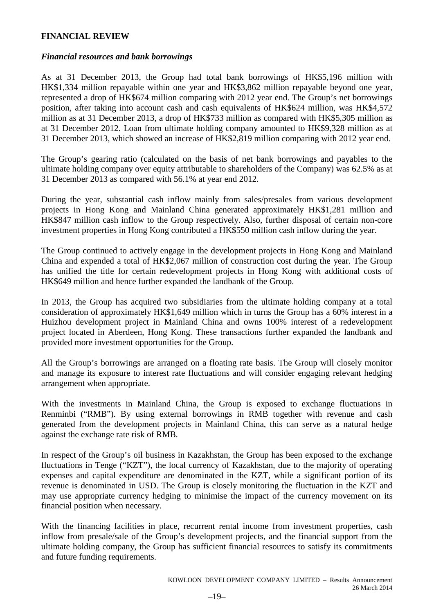# **FINANCIAL REVIEW**

### *Financial resources and bank borrowings*

As at 31 December 2013, the Group had total bank borrowings of HK\$5,196 million with HK\$1,334 million repayable within one year and HK\$3,862 million repayable beyond one year, represented a drop of HK\$674 million comparing with 2012 year end. The Group's net borrowings position, after taking into account cash and cash equivalents of HK\$624 million, was HK\$4,572 million as at 31 December 2013, a drop of HK\$733 million as compared with HK\$5,305 million as at 31 December 2012. Loan from ultimate holding company amounted to HK\$9,328 million as at 31 December 2013, which showed an increase of HK\$2,819 million comparing with 2012 year end.

The Group's gearing ratio (calculated on the basis of net bank borrowings and payables to the ultimate holding company over equity attributable to shareholders of the Company) was 62.5% as at 31 December 2013 as compared with 56.1% at year end 2012.

During the year, substantial cash inflow mainly from sales/presales from various development projects in Hong Kong and Mainland China generated approximately HK\$1,281 million and HK\$847 million cash inflow to the Group respectively. Also, further disposal of certain non-core investment properties in Hong Kong contributed a HK\$550 million cash inflow during the year.

The Group continued to actively engage in the development projects in Hong Kong and Mainland China and expended a total of HK\$2,067 million of construction cost during the year. The Group has unified the title for certain redevelopment projects in Hong Kong with additional costs of HK\$649 million and hence further expanded the landbank of the Group.

In 2013, the Group has acquired two subsidiaries from the ultimate holding company at a total consideration of approximately HK\$1,649 million which in turns the Group has a 60% interest in a Huizhou development project in Mainland China and owns 100% interest of a redevelopment project located in Aberdeen, Hong Kong. These transactions further expanded the landbank and provided more investment opportunities for the Group.

All the Group's borrowings are arranged on a floating rate basis. The Group will closely monitor and manage its exposure to interest rate fluctuations and will consider engaging relevant hedging arrangement when appropriate.

With the investments in Mainland China, the Group is exposed to exchange fluctuations in Renminbi ("RMB"). By using external borrowings in RMB together with revenue and cash generated from the development projects in Mainland China, this can serve as a natural hedge against the exchange rate risk of RMB.

In respect of the Group's oil business in Kazakhstan, the Group has been exposed to the exchange fluctuations in Tenge ("KZT"), the local currency of Kazakhstan, due to the majority of operating expenses and capital expenditure are denominated in the KZT, while a significant portion of its revenue is denominated in USD. The Group is closely monitoring the fluctuation in the KZT and may use appropriate currency hedging to minimise the impact of the currency movement on its financial position when necessary.

With the financing facilities in place, recurrent rental income from investment properties, cash inflow from presale/sale of the Group's development projects, and the financial support from the ultimate holding company, the Group has sufficient financial resources to satisfy its commitments and future funding requirements.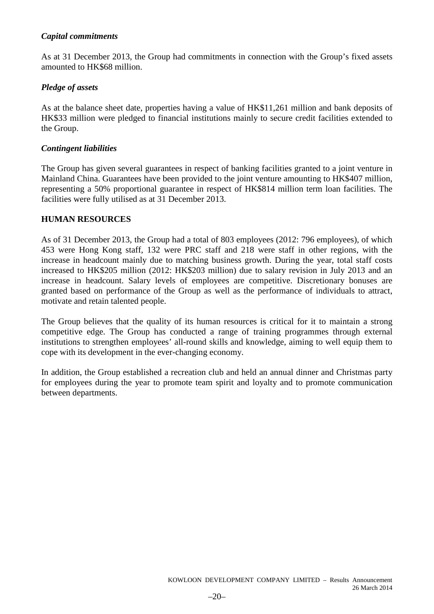# *Capital commitments*

As at 31 December 2013, the Group had commitments in connection with the Group's fixed assets amounted to HK\$68 million.

# *Pledge of assets*

As at the balance sheet date, properties having a value of HK\$11,261 million and bank deposits of HK\$33 million were pledged to financial institutions mainly to secure credit facilities extended to the Group.

# *Contingent liabilities*

The Group has given several guarantees in respect of banking facilities granted to a joint venture in Mainland China. Guarantees have been provided to the joint venture amounting to HK\$407 million, representing a 50% proportional guarantee in respect of HK\$814 million term loan facilities. The facilities were fully utilised as at 31 December 2013.

# **HUMAN RESOURCES**

As of 31 December 2013, the Group had a total of 803 employees (2012: 796 employees), of which 453 were Hong Kong staff, 132 were PRC staff and 218 were staff in other regions, with the increase in headcount mainly due to matching business growth. During the year, total staff costs increased to HK\$205 million (2012: HK\$203 million) due to salary revision in July 2013 and an increase in headcount. Salary levels of employees are competitive. Discretionary bonuses are granted based on performance of the Group as well as the performance of individuals to attract, motivate and retain talented people.

The Group believes that the quality of its human resources is critical for it to maintain a strong competitive edge. The Group has conducted a range of training programmes through external institutions to strengthen employees' all-round skills and knowledge, aiming to well equip them to cope with its development in the ever-changing economy.

In addition, the Group established a recreation club and held an annual dinner and Christmas party for employees during the year to promote team spirit and loyalty and to promote communication between departments.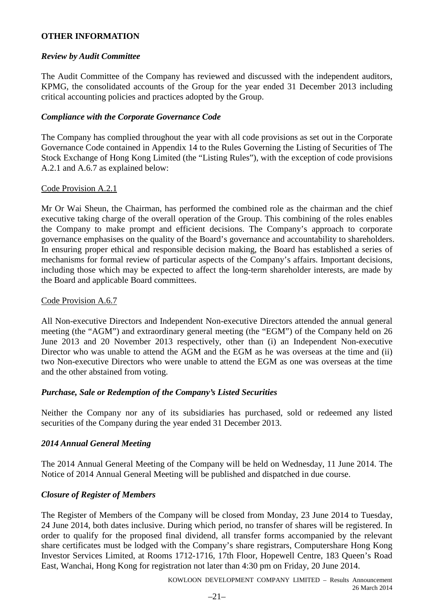# **OTHER INFORMATION**

# *Review by Audit Committee*

The Audit Committee of the Company has reviewed and discussed with the independent auditors, KPMG, the consolidated accounts of the Group for the year ended 31 December 2013 including critical accounting policies and practices adopted by the Group.

# *Compliance with the Corporate Governance Code*

The Company has complied throughout the year with all code provisions as set out in the Corporate Governance Code contained in Appendix 14 to the Rules Governing the Listing of Securities of The Stock Exchange of Hong Kong Limited (the "Listing Rules"), with the exception of code provisions A.2.1 and A.6.7 as explained below:

# Code Provision A.2.1

Mr Or Wai Sheun, the Chairman, has performed the combined role as the chairman and the chief executive taking charge of the overall operation of the Group. This combining of the roles enables the Company to make prompt and efficient decisions. The Company's approach to corporate governance emphasises on the quality of the Board's governance and accountability to shareholders. In ensuring proper ethical and responsible decision making, the Board has established a series of mechanisms for formal review of particular aspects of the Company's affairs. Important decisions, including those which may be expected to affect the long-term shareholder interests, are made by the Board and applicable Board committees.

# Code Provision A.6.7

All Non-executive Directors and Independent Non-executive Directors attended the annual general meeting (the "AGM") and extraordinary general meeting (the "EGM") of the Company held on 26 June 2013 and 20 November 2013 respectively, other than (i) an Independent Non-executive Director who was unable to attend the AGM and the EGM as he was overseas at the time and (ii) two Non-executive Directors who were unable to attend the EGM as one was overseas at the time and the other abstained from voting.

# *Purchase, Sale or Redemption of the Company's Listed Securities*

Neither the Company nor any of its subsidiaries has purchased, sold or redeemed any listed securities of the Company during the year ended 31 December 2013.

# *2014 Annual General Meeting*

The 2014 Annual General Meeting of the Company will be held on Wednesday, 11 June 2014. The Notice of 2014 Annual General Meeting will be published and dispatched in due course.

# *Closure of Register of Members*

The Register of Members of the Company will be closed from Monday, 23 June 2014 to Tuesday, 24 June 2014, both dates inclusive. During which period, no transfer of shares will be registered. In order to qualify for the proposed final dividend, all transfer forms accompanied by the relevant share certificates must be lodged with the Company's share registrars, Computershare Hong Kong Investor Services Limited, at Rooms 1712-1716, 17th Floor, Hopewell Centre, 183 Queen's Road East, Wanchai, Hong Kong for registration not later than 4:30 pm on Friday, 20 June 2014.